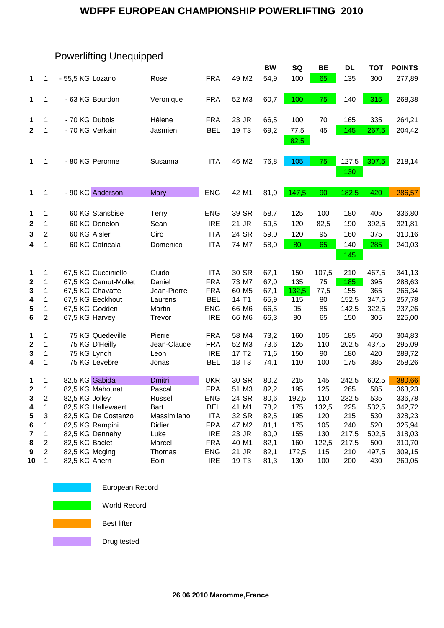#### **WDFPF EUROPEAN CHAMPIONSHIP POWERLIFTING 2010**

|                  |                |                      |               |            |                   | <b>BW</b> | SQ           | <b>BE</b> | DL    | <b>TOT</b> | <b>POINTS</b> |
|------------------|----------------|----------------------|---------------|------------|-------------------|-----------|--------------|-----------|-------|------------|---------------|
| 1                | 1              | - 55,5 KG Lozano     | Rose          | <b>FRA</b> | 49 M2             | 54,9      | 100          | 65        | 135   | 300        | 277,89        |
| 1                | 1              | - 63 KG Bourdon      | Veronique     | <b>FRA</b> | 52 M3             | 60,7      | 100          | 75        | 140   | 315        | 268,38        |
| 1                | 1              | - 70 KG Dubois       | Hélene        | <b>FRA</b> | 23 JR             | 66,5      | 100          | 70        | 165   | 335        | 264,21        |
| $\mathbf{2}$     | 1              | - 70 KG Verkain      | Jasmien       | <b>BEL</b> | 19 T <sub>3</sub> | 69,2      | 77,5<br>82,5 | 45        | 145   | 267,5      | 204,42        |
| 1                | 1              | - 80 KG Peronne      | Susanna       | <b>ITA</b> | 46 M2             | 76,8      | 105          | 75        | 127,5 | 307,5      | 218,14        |
|                  |                |                      |               |            |                   |           |              |           | 130   |            |               |
| 1                | 1              | - 90 KG Anderson     | <b>Mary</b>   | <b>ENG</b> | 42 M1             | 81,0      | 147,5        | 90        | 182,5 | 420        | 286,57        |
| 1                | 1              | 60 KG Stansbise      | Terry         | <b>ENG</b> | 39 SR             | 58,7      | 125          | 100       | 180   | 405        | 336,80        |
| $\boldsymbol{2}$ | 1              | 60 KG Donelon        | Sean          | <b>IRE</b> | 21 JR             | 59,5      | 120          | 82,5      | 190   | 392,5      | 321,81        |
| 3                | $\overline{2}$ | 60 KG Aisler         | Ciro          | <b>ITA</b> | 24 SR             | 59,0      | 120          | 95        | 160   | 375        | 310,16        |
| 4                | 1              | 60 KG Catricala      | Domenico      | <b>ITA</b> | 74 M7             | 58,0      | 80           | 65        | 140   | 285        | 240,03        |
|                  |                |                      |               |            |                   |           |              |           | 145   |            |               |
| 1                | 1              | 67,5 KG Cucciniello  | Guido         | <b>ITA</b> | 30 SR             | 67,1      | 150          | 107,5     | 210   | 467,5      | 341,13        |
| $\boldsymbol{2}$ | 1              | 67,5 KG Camut-Mollet | Daniel        | <b>FRA</b> | 73 M7             | 67,0      | 135          | 75        | 185   | 395        | 288,63        |
| 3                | 1              | 67,5 KG Chavatte     | Jean-Pierre   | <b>FRA</b> | 60 M <sub>5</sub> | 67,1      | 132,5        | 77,5      | 155   | 365        | 266,34        |
| 4                | 1              | 67,5 KG Eeckhout     | Laurens       | <b>BEL</b> | 14 T1             | 65,9      | 115          | 80        | 152,5 | 347,5      | 257,78        |
| 5                | 1              | 67,5 KG Godden       | Martin        | <b>ENG</b> | 66 M6             | 66,5      | 95           | 85        | 142,5 | 322,5      | 237,26        |
| 6                | 2              | 67,5 KG Harvey       | Trevor        | <b>IRE</b> | 66 M6             | 66,3      | 90           | 65        | 150   | 305        | 225,00        |
| 1                | 1              | 75 KG Quedeville     | Pierre        | <b>FRA</b> | 58 M4             | 73,2      | 160          | 105       | 185   | 450        | 304,83        |
| $\mathbf 2$      | 1              | 75 KG D'Heilly       | Jean-Claude   | <b>FRA</b> | 52 M3             | 73,6      | 125          | 110       | 202,5 | 437,5      | 295,09        |
| 3                | 1              | 75 KG Lynch          | Leon          | <b>IRE</b> | 17 T <sub>2</sub> | 71,6      | 150          | 90        | 180   | 420        | 289,72        |
| 4                | 1              | 75 KG Levebre        | Jonas         | <b>BEL</b> | 18 T <sub>3</sub> | 74,1      | 110          | 100       | 175   | 385        | 258,26        |
| 1                | 1              | 82,5 KG Gabida       | <b>Dmitri</b> | <b>UKR</b> | 30 SR             | 80,2      | 215          | 145       | 242,5 | 602,5      | 380,66        |
| $\mathbf{2}$     | 1              | 82,5 KG Mahourat     | Pascal        | <b>FRA</b> | 51 M3             | 82,2      | 195          | 125       | 265   | 585        | 363,23        |
| 3                | 2              | 82,5 KG Jolley       | Russel        | ENG        | 24 SR             | 80,6      | 192,5        | 110       | 232,5 | 535        | 336,78        |
| 4                | 1              | 82,5 KG Hallewaert   | Bart          | BEL        | 41 M1             | 78,2      | 175          | 132,5     | 225   | 532,5      | 342,72        |
| 5                | 3              | 82,5 KG De Costanzo  | Massimilano   | <b>ITA</b> | 32 SR             | 82,5      | 195          | 120       | 215   | 530        | 328,23        |
| 6                | 1              | 82,5 KG Rampini      | Didier        | <b>FRA</b> | 47 M2             | 81,1      | 175          | 105       | 240   | 520        | 325,94        |
| 7                | 1              | 82,5 KG Dennehy      | Luke          | <b>IRE</b> | 23 JR             | 80,0      | 155          | 130       | 217,5 | 502,5      | 318,03        |
| 8                | 2              | 82,5 KG Baclet       | Marcel        | <b>FRA</b> | 40 M1             | 82,1      | 160          | 122,5     | 217,5 | 500        | 310,70        |
| 9                | $\overline{2}$ | 82,5 KG Mcging       | Thomas        | <b>ENG</b> | 21 JR             | 82,1      | 172,5        | 115       | 210   | 497,5      | 309,15        |
| 10               | 1              | 82,5 KG Ahern        | Eoin          | <b>IRE</b> | 19 T <sub>3</sub> | 81,3      | 130          | 100       | 200   | 430        | 269,05        |

# Powerlifting Unequipped



European Record

World Record

Best lifter

Drug tested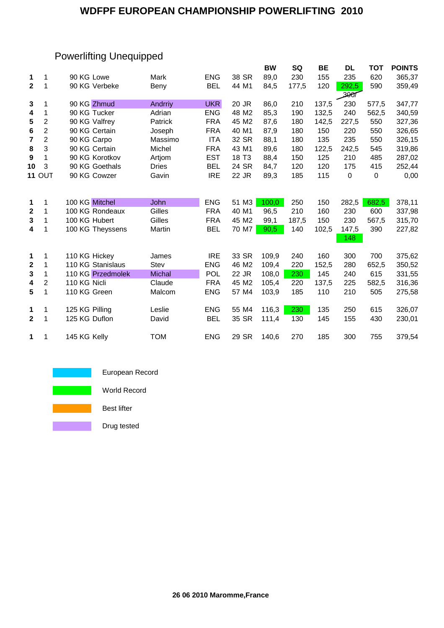#### **WDFPF EUROPEAN CHAMPIONSHIP POWERLIFTING 2010**

# Powerlifting Unequipped

|                         |                |                   |               |            |                   | <b>BW</b> | <b>SQ</b> | <b>BE</b> | <b>DL</b> | <b>TOT</b>       | <b>POINTS</b> |
|-------------------------|----------------|-------------------|---------------|------------|-------------------|-----------|-----------|-----------|-----------|------------------|---------------|
| 1                       | 1              | 90 KG Lowe        | Mark          | <b>ENG</b> | 38 SR             | 89,0      | 230       | 155       | 235       | 620              | 365,37        |
| $\mathbf{2}$            | 1              | 90 KG Verbeke     | Beny          | <b>BEL</b> | 44 M1             | 84,5      | 177,5     | 120       | 292,5     | 590              | 359,49        |
|                         |                |                   |               |            |                   |           |           |           | 2007      |                  |               |
| 3                       | 1              | 90 KG Zhmud       | Andrriy       | <b>UKR</b> | 20 JR             | 86,0      | 210       | 137,5     | 230       | 577,5            | 347,77        |
| 4                       | 1              | 90 KG Tucker      | Adrian        | <b>ENG</b> | 48 M2             | 85,3      | 190       | 132,5     | 240       | 562,5            | 340,59        |
| 5                       | $\overline{2}$ | 90 KG Valfrey     | Patrick       | <b>FRA</b> | 45 M2             | 87,6      | 180       | 142,5     | 227,5     | 550              | 327,36        |
| 6                       | $\overline{2}$ | 90 KG Certain     | Joseph        | <b>FRA</b> | 40 M1             | 87,9      | 180       | 150       | 220       | 550              | 326,65        |
| $\overline{\mathbf{r}}$ | $\overline{c}$ | 90 KG Carpo       | Massimo       | <b>ITA</b> | 32 SR             | 88,1      | 180       | 135       | 235       | 550              | 326,15        |
| 8                       | 3              | 90 KG Certain     | Michel        | <b>FRA</b> | 43 M1             | 89,6      | 180       | 122,5     | 242,5     | 545              | 319,86        |
| 9                       | 1              | 90 KG Korotkov    | Artjom        | <b>EST</b> | 18 T <sub>3</sub> | 88,4      | 150       | 125       | 210       | 485              | 287,02        |
| 10                      | 3              | 90 KG Goethals    | <b>Dries</b>  | <b>BEL</b> | 24 SR             | 84,7      | 120       | 120       | 175       | 415              | 252,44        |
|                         | <b>11 OUT</b>  | 90 KG Cowzer      | Gavin         | <b>IRE</b> | 22 JR             | 89,3      | 185       | 115       | $\pmb{0}$ | $\boldsymbol{0}$ | 0,00          |
|                         |                |                   |               |            |                   |           |           |           |           |                  |               |
| 1                       | 1              | 100 KG Mitchel    | John          | <b>ENG</b> | 51 M3             | 100,0     | 250       | 150       | 282,5     | 682,5            | 378,11        |
| $\boldsymbol{2}$        | 1              | 100 KG Rondeaux   | Gilles        | <b>FRA</b> | 40 M1             | 96,5      | 210       | 160       | 230       | 600              | 337,98        |
| 3                       | 1              | 100 KG Hubert     | Gilles        | <b>FRA</b> | 45 M2             | 99,1      | 187,5     | 150       | 230       | 567,5            | 315,70        |
| 4                       | 1              | 100 KG Theyssens  | Martin        | <b>BEL</b> | 70 M7             | 90,5      | 140       | 102,5     | 147,5     | 390              | 227,82        |
|                         |                |                   |               |            |                   |           |           |           | 148       |                  |               |
| 1                       | 1              | 110 KG Hickey     | James         | <b>IRE</b> | 33 SR             | 109,9     | 240       | 160       | 300       | 700              | 375,62        |
| $\mathbf 2$             | 1              | 110 KG Stanislaus | <b>Stev</b>   | <b>ENG</b> | 46 M2             | 109,4     | 220       | 152,5     | 280       | 652,5            | 350,52        |
| 3                       | 1              | 110 KG Przedmolek | <b>Michal</b> | POL        | 22 JR             | 108,0     | 230       | 145       | 240       | 615              | 331,55        |
| 4                       | 2              | 110 KG Nicli      | Claude        | <b>FRA</b> | 45 M2             | 105,4     | 220       | 137,5     | 225       | 582,5            | 316,36        |
| 5                       | 1              | 110 KG Green      | Malcom        | <b>ENG</b> | 57 M4             | 103,9     | 185       | 110       | 210       | 505              | 275,58        |
| 1                       | 1              | 125 KG Pilling    | Leslie        | <b>ENG</b> | 55 M4             | 116,3     | 230       | 135       | 250       | 615              | 326,07        |
| $\mathbf 2$             | 1              | 125 KG Duflon     | David         | <b>BEL</b> | 35 SR             | 111,4     | 130       | 145       | 155       | 430              | 230,01        |
|                         |                |                   |               |            |                   |           |           |           |           |                  |               |
| 1                       | 1              | 145 KG Kelly      | <b>TOM</b>    | <b>ENG</b> | 29 SR             | 140,6     | 270       | 185       | 300       | 755              | 379,54        |



Drug tested